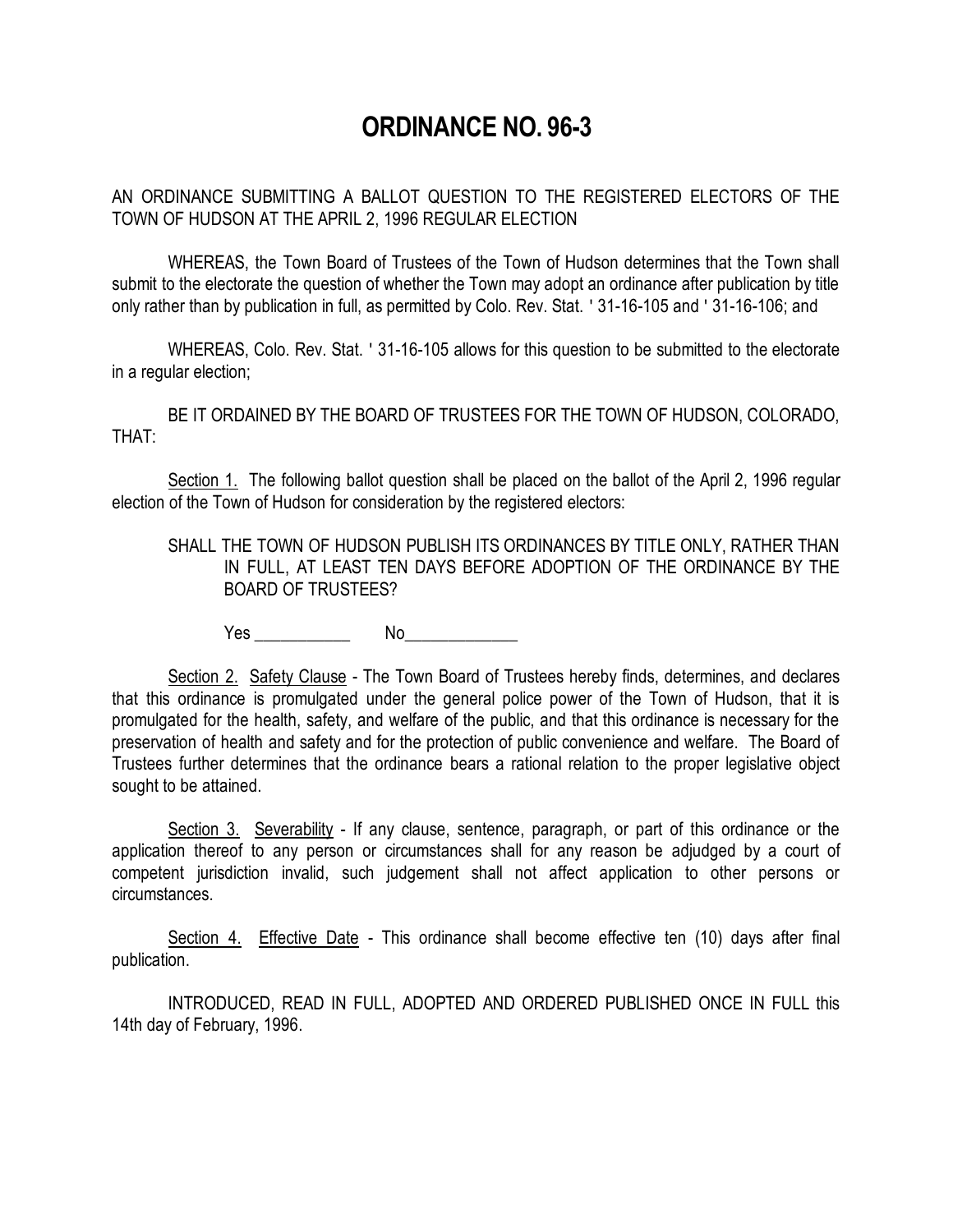## **ORDINANCE NO. 96-3**

AN ORDINANCE SUBMITTING A BALLOT QUESTION TO THE REGISTERED ELECTORS OF THE TOWN OF HUDSON AT THE APRIL 2, 1996 REGULAR ELECTION

WHEREAS, the Town Board of Trustees of the Town of Hudson determines that the Town shall submit to the electorate the question of whether the Town may adopt an ordinance after publication by title only rather than by publication in full, as permitted by Colo. Rev. Stat. ' 31-16-105 and ' 31-16-106; and

WHEREAS, Colo. Rev. Stat. ' 31-16-105 allows for this question to be submitted to the electorate in a regular election;

BE IT ORDAINED BY THE BOARD OF TRUSTEES FOR THE TOWN OF HUDSON, COLORADO, THAT:

Section 1. The following ballot question shall be placed on the ballot of the April 2, 1996 regular election of the Town of Hudson for consideration by the registered electors:

SHALL THE TOWN OF HUDSON PUBLISH ITS ORDINANCES BY TITLE ONLY, RATHER THAN IN FULL, AT LEAST TEN DAYS BEFORE ADOPTION OF THE ORDINANCE BY THE BOARD OF TRUSTEES?

Yes \_\_\_\_\_\_\_\_\_\_\_ No\_\_\_\_\_\_\_\_\_\_\_\_\_

Section 2. Safety Clause - The Town Board of Trustees hereby finds, determines, and declares that this ordinance is promulgated under the general police power of the Town of Hudson, that it is promulgated for the health, safety, and welfare of the public, and that this ordinance is necessary for the preservation of health and safety and for the protection of public convenience and welfare. The Board of Trustees further determines that the ordinance bears a rational relation to the proper legislative object sought to be attained.

Section 3. Severability - If any clause, sentence, paragraph, or part of this ordinance or the application thereof to any person or circumstances shall for any reason be adjudged by a court of competent jurisdiction invalid, such judgement shall not affect application to other persons or circumstances.

Section 4. Effective Date - This ordinance shall become effective ten (10) days after final publication.

INTRODUCED, READ IN FULL, ADOPTED AND ORDERED PUBLISHED ONCE IN FULL this 14th day of February, 1996.